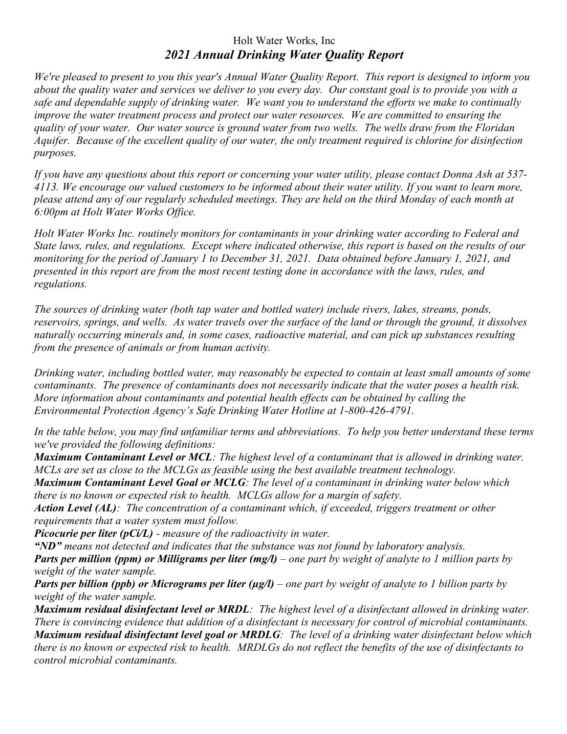## Holt Water Works, Inc *2021 Annual Drinking Water Quality Report*

*We're pleased to present to you this year's Annual Water Quality Report. This report is designed to inform you about the quality water and services we deliver to you every day. Our constant goal is to provide you with a safe and dependable supply of drinking water. We want you to understand the efforts we make to continually improve the water treatment process and protect our water resources. We are committed to ensuring the quality of your water. Our water source is ground water from two wells. The wells draw from the Floridan Aquifer. Because of the excellent quality of our water, the only treatment required is chlorine for disinfection purposes.*

*If you have any questions about this report or concerning your water utility, please contact Donna Ash at 537- 4113. We encourage our valued customers to be informed about their water utility. If you want to learn more, please attend any of our regularly scheduled meetings. They are held on the third Monday of each month at 6:00pm at Holt Water Works Office.*

*Holt Water Works Inc. routinely monitors for contaminants in your drinking water according to Federal and State laws, rules, and regulations. Except where indicated otherwise, this report is based on the results of our monitoring for the period of January 1 to December 31, 2021. Data obtained before January 1, 2021, and presented in this report are from the most recent testing done in accordance with the laws, rules, and regulations.* 

*The sources of drinking water (both tap water and bottled water) include rivers, lakes, streams, ponds, reservoirs, springs, and wells. As water travels over the surface of the land or through the ground, it dissolves naturally occurring minerals and, in some cases, radioactive material, and can pick up substances resulting from the presence of animals or from human activity.*

*Drinking water, including bottled water, may reasonably be expected to contain at least small amounts of some contaminants. The presence of contaminants does not necessarily indicate that the water poses a health risk. More information about contaminants and potential health effects can be obtained by calling the Environmental Protection Agency's Safe Drinking Water Hotline at 1-800-426-4791.*

*In the table below, you may find unfamiliar terms and abbreviations. To help you better understand these terms we've provided the following definitions:*

*Maximum Contaminant Level or MCL: The highest level of a contaminant that is allowed in drinking water. MCLs are set as close to the MCLGs as feasible using the best available treatment technology.*

*Maximum Contaminant Level Goal or MCLG: The level of a contaminant in drinking water below which there is no known or expected risk to health. MCLGs allow for a margin of safety.*

*Action Level (AL): The concentration of a contaminant which, if exceeded, triggers treatment or other requirements that a water system must follow.*

*Picocurie per liter (pCi/L) - measure of the radioactivity in water.*

*"ND" means not detected and indicates that the substance was not found by laboratory analysis.*

*Parts per million (ppm) or Milligrams per liter (mg/l) – one part by weight of analyte to 1 million parts by weight of the water sample.*

*Parts per billion (ppb) or Micrograms per liter (µg/l) – one part by weight of analyte to 1 billion parts by weight of the water sample.*

*Maximum residual disinfectant level or MRDL: The highest level of a disinfectant allowed in drinking water. There is convincing evidence that addition of a disinfectant is necessary for control of microbial contaminants. Maximum residual disinfectant level goal or MRDLG: The level of a drinking water disinfectant below which there is no known or expected risk to health. MRDLGs do not reflect the benefits of the use of disinfectants to control microbial contaminants.*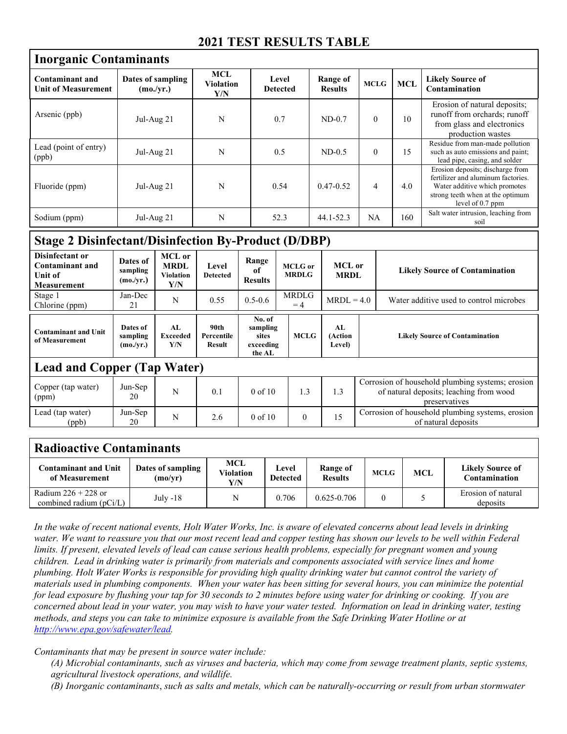## **2021 TEST RESULTS TABLE**

| <b>Inorganic Contaminants</b>                 |                                |                                |                          |                            |                |            |                                                                                                                                                                 |  |  |
|-----------------------------------------------|--------------------------------|--------------------------------|--------------------------|----------------------------|----------------|------------|-----------------------------------------------------------------------------------------------------------------------------------------------------------------|--|--|
| Contaminant and<br><b>Unit of Measurement</b> | Dates of sampling<br>(mo./vr.) | MCL<br><b>Violation</b><br>Y/N | Level<br><b>Detected</b> | Range of<br><b>Results</b> | <b>MCLG</b>    | <b>MCL</b> | <b>Likely Source of</b><br>Contamination                                                                                                                        |  |  |
| Arsenic (ppb)                                 | Jul-Aug $21$                   | N                              | 0.7                      | $ND-0.7$                   | $\mathbf{0}$   | 10         | Erosion of natural deposits;<br>runoff from orchards; runoff<br>from glass and electronics<br>production wastes                                                 |  |  |
| Lead (point of entry)<br>(ppb)                | Jul-Aug 21                     | N                              | 0.5                      | $ND-0.5$                   | $\theta$       | 15         | Residue from man-made pollution<br>such as auto emissions and paint;<br>lead pipe, casing, and solder                                                           |  |  |
| Fluoride (ppm)                                | $Jul-Aug 21$                   | N                              | 0.54                     | $0.47 - 0.52$              | $\overline{4}$ | 4.0        | Erosion deposits; discharge from<br>fertilizer and aluminum factories.<br>Water additive which promotes<br>strong teeth when at the optimum<br>level of 0.7 ppm |  |  |
| Sodium (ppm)                                  | Jul-Aug $21$                   | N                              | 52.3                     | $44.1 - 52.3$              | NA             | 160        | Salt water intrusion, leaching from<br>soil                                                                                                                     |  |  |

## **Stage 2 Disinfectant/Disinfection By-Product (D/DBP)**

| Disinfectant or<br><b>Contaminant and</b><br>Unit of<br><b>Measurement</b> | Dates of<br>sampling<br>(mo./yr.) | MCL or<br><b>MRDL</b><br>Violation<br>Y/N | Level<br><b>Detected</b>     | Range<br>of<br><b>Results</b>                      | <b>MCLG</b> or<br><b>MRDLG</b> | <b>MCL</b> or<br><b>MRDL</b>    |                                       | <b>Likely Source of Contamination</b>                                                                        |  |  |
|----------------------------------------------------------------------------|-----------------------------------|-------------------------------------------|------------------------------|----------------------------------------------------|--------------------------------|---------------------------------|---------------------------------------|--------------------------------------------------------------------------------------------------------------|--|--|
| Stage 1<br>Chlorine (ppm)                                                  | Jan-Dec<br>21                     | N                                         | 0.55                         | $0.5 - 0.6$                                        | <b>MRDLG</b><br>$=4$           | $MRDL = 4.0$                    |                                       | Water additive used to control microbes                                                                      |  |  |
| <b>Contaminant and Unit</b><br>of Measurement                              | Dates of<br>sampling<br>(mo./yr.) | AL<br><b>Exceeded</b><br>Y/N              | 90th<br>Percentile<br>Result | No. of<br>sampling<br>sites<br>exceeding<br>the AL | <b>MCLG</b>                    | AL<br>(Action<br><b>Level</b> ) | <b>Likely Source of Contamination</b> |                                                                                                              |  |  |
| <b>Lead and Copper (Tap Water)</b>                                         |                                   |                                           |                              |                                                    |                                |                                 |                                       |                                                                                                              |  |  |
| Copper (tap water)<br>(ppm)                                                | Jun-Sep<br>20                     | N                                         | 0.1                          | $0$ of $10$                                        | 1.3                            | 1.3                             |                                       | Corrosion of household plumbing systems; erosion<br>of natural deposits; leaching from wood<br>preservatives |  |  |
| Lead (tap water)<br>(ppb)                                                  | Jun-Sep<br>20                     | N                                         | 2.6                          | $0$ of $10$                                        | $\theta$                       | 15                              |                                       | Corrosion of household plumbing systems, erosion<br>of natural deposits                                      |  |  |

## **Radioactive Contaminants Contaminant and Unit Dates of sampling MCL Violation Level Range of** *<u>Likely Source of*</u>

| of Measurement                                     | (mo/yr)  | Violation<br>Y/N | <b>Detected</b> | <b>Results</b>  | MCLG | MCL | Contamination                  |
|----------------------------------------------------|----------|------------------|-----------------|-----------------|------|-----|--------------------------------|
| Radium $226 + 228$ or<br>combined radium $(pCi/L)$ | July -18 |                  | 0.706           | $0.625 - 0.706$ |      |     | Erosion of natural<br>deposits |

*In the wake of recent national events, Holt Water Works, Inc. is aware of elevated concerns about lead levels in drinking*  water. We want to reassure you that our most recent lead and copper testing has shown our levels to be well within Federal *limits. If present, elevated levels of lead can cause serious health problems, especially for pregnant women and young children. Lead in drinking water is primarily from materials and components associated with service lines and home plumbing. Holt Water Works is responsible for providing high quality drinking water but cannot control the variety of materials used in plumbing components. When your water has been sitting for several hours, you can minimize the potential for lead exposure by flushing your tap for 30 seconds to 2 minutes before using water for drinking or cooking. If you are concerned about lead in your water, you may wish to have your water tested. Information on lead in drinking water, testing methods, and steps you can take to minimize exposure is available from the Safe Drinking Water Hotline or at http://www.epa.gov/safewater/lead.*

*Contaminants that may be present in source water include:*

*(A) Microbial contaminants, such as viruses and bacteria, which may come from sewage treatment plants, septic systems, agricultural livestock operations, and wildlife.*

*(B) Inorganic contaminants*, *such as salts and metals, which can be naturally-occurring or result from urban stormwater*